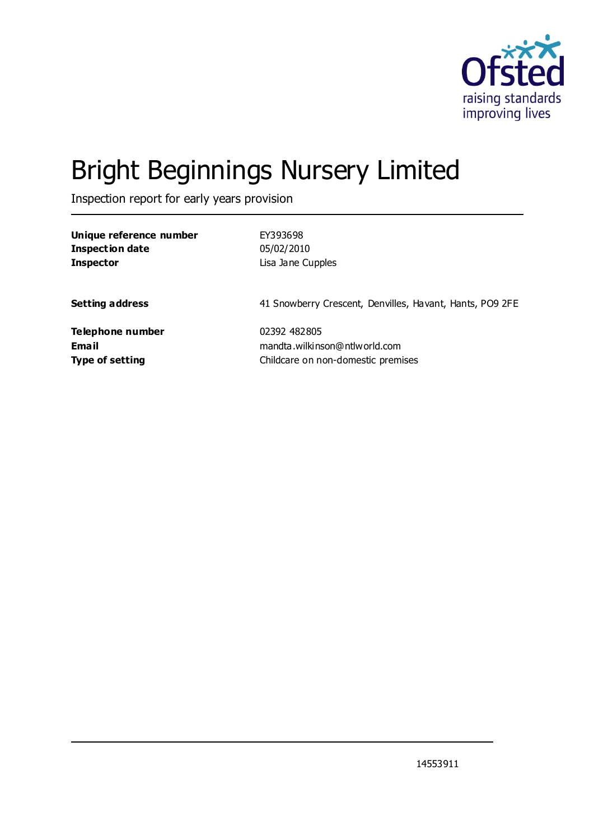

# Bright Beginnings Nursery Limited

Inspection report for early years provision

| Unique reference number | EY393698                                                 |
|-------------------------|----------------------------------------------------------|
| <b>Inspection date</b>  | 05/02/2010                                               |
| <b>Inspector</b>        | Lisa Jane Cupples                                        |
| <b>Setting address</b>  | 41 Snowberry Crescent, Denvilles, Havant, Hants, PO9 2FE |
| Telephone number        | 02392 482805                                             |
| Email                   | mandta.wilkinson@ntlworld.com                            |
| <b>Type of setting</b>  | Childcare on non-domestic premises                       |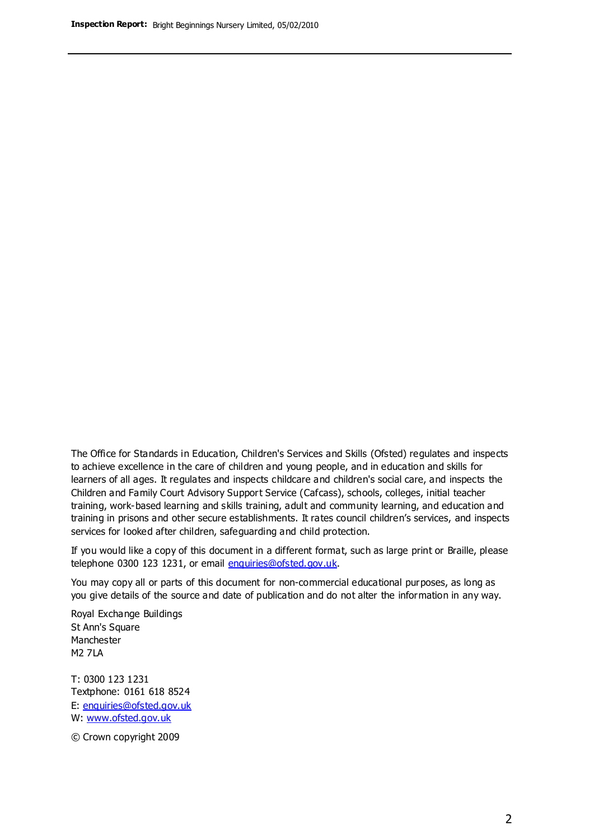The Office for Standards in Education, Children's Services and Skills (Ofsted) regulates and inspects to achieve excellence in the care of children and young people, and in education and skills for learners of all ages. It regulates and inspects childcare and children's social care, and inspects the Children and Family Court Advisory Support Service (Cafcass), schools, colleges, initial teacher training, work-based learning and skills training, adult and community learning, and education and training in prisons and other secure establishments. It rates council children's services, and inspects services for looked after children, safeguarding and child protection.

If you would like a copy of this document in a different format, such as large print or Braille, please telephone 0300 123 1231, or email enquiries@ofsted.gov.uk.

You may copy all or parts of this document for non-commercial educational purposes, as long as you give details of the source and date of publication and do not alter the information in any way.

Royal Exchange Buildings St Ann's Square Manchester M2 7LA

T: 0300 123 1231 Textphone: 0161 618 8524 E: enquiries@ofsted.gov.uk W: [www.ofsted.gov.uk](http://www.ofsted.gov.uk/)

© Crown copyright 2009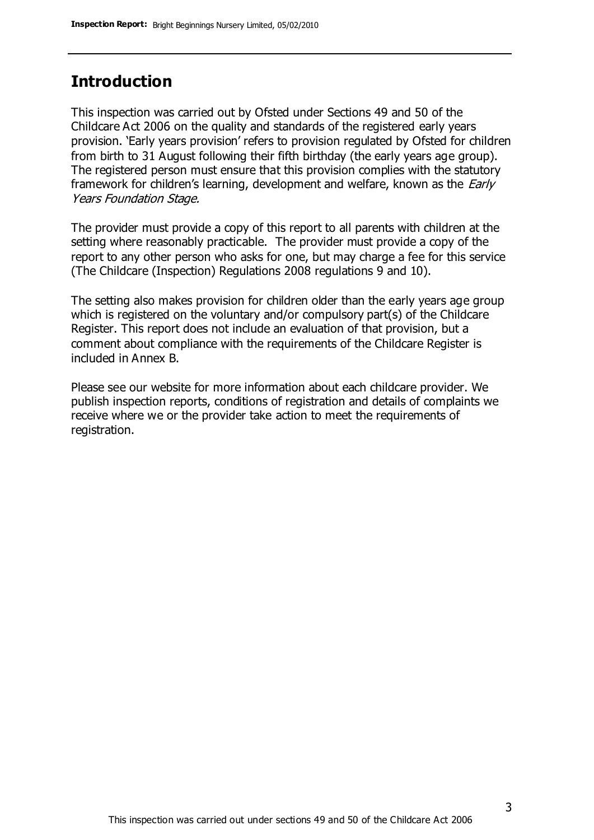### **Introduction**

This inspection was carried out by Ofsted under Sections 49 and 50 of the Childcare Act 2006 on the quality and standards of the registered early years provision. 'Early years provision' refers to provision regulated by Ofsted for children from birth to 31 August following their fifth birthday (the early years age group). The registered person must ensure that this provision complies with the statutory framework for children's learning, development and welfare, known as the *Early* Years Foundation Stage.

The provider must provide a copy of this report to all parents with children at the setting where reasonably practicable. The provider must provide a copy of the report to any other person who asks for one, but may charge a fee for this service (The Childcare (Inspection) Regulations 2008 regulations 9 and 10).

The setting also makes provision for children older than the early years age group which is registered on the voluntary and/or compulsory part(s) of the Childcare Register. This report does not include an evaluation of that provision, but a comment about compliance with the requirements of the Childcare Register is included in Annex B.

Please see our website for more information about each childcare provider. We publish inspection reports, conditions of registration and details of complaints we receive where we or the provider take action to meet the requirements of registration.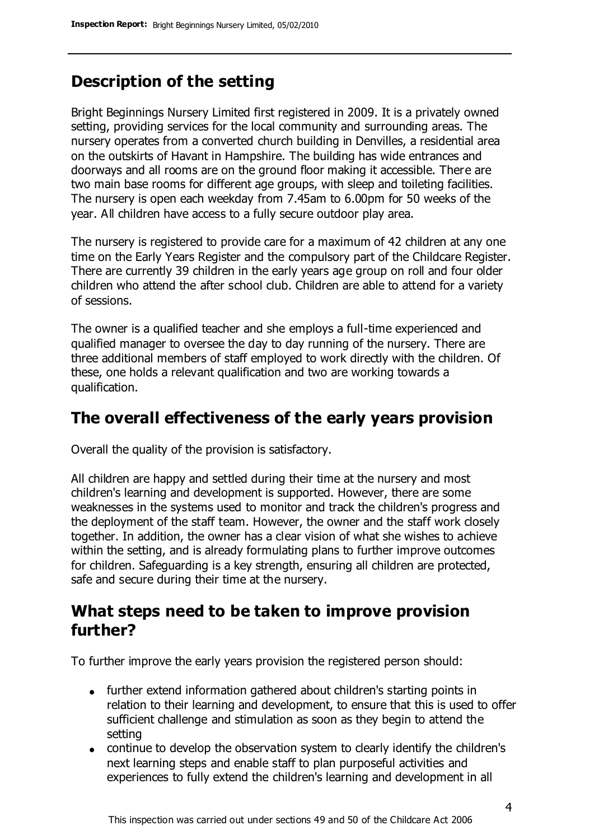### **Description of the setting**

Bright Beginnings Nursery Limited first registered in 2009. It is a privately owned setting, providing services for the local community and surrounding areas. The nursery operates from a converted church building in Denvilles, a residential area on the outskirts of Havant in Hampshire. The building has wide entrances and doorways and all rooms are on the ground floor making it accessible. There are two main base rooms for different age groups, with sleep and toileting facilities. The nursery is open each weekday from 7.45am to 6.00pm for 50 weeks of the year. All children have access to a fully secure outdoor play area.

The nursery is registered to provide care for a maximum of 42 children at any one time on the Early Years Register and the compulsory part of the Childcare Register. There are currently 39 children in the early years age group on roll and four older children who attend the after school club. Children are able to attend for a variety of sessions.

The owner is a qualified teacher and she employs a full-time experienced and qualified manager to oversee the day to day running of the nursery. There are three additional members of staff employed to work directly with the children. Of these, one holds a relevant qualification and two are working towards a qualification.

### **The overall effectiveness of the early years provision**

Overall the quality of the provision is satisfactory.

All children are happy and settled during their time at the nursery and most children's learning and development is supported. However, there are some weaknesses in the systems used to monitor and track the children's progress and the deployment of the staff team. However, the owner and the staff work closely together. In addition, the owner has a clear vision of what she wishes to achieve within the setting, and is already formulating plans to further improve outcomes for children. Safeguarding is a key strength, ensuring all children are protected, safe and secure during their time at the nursery.

### **What steps need to be taken to improve provision further?**

To further improve the early years provision the registered person should:

- further extend information gathered about children's starting points in relation to their learning and development, to ensure that this is used to offer sufficient challenge and stimulation as soon as they begin to attend the setting
- continue to develop the observation system to clearly identify the children's next learning steps and enable staff to plan purposeful activities and experiences to fully extend the children's learning and development in all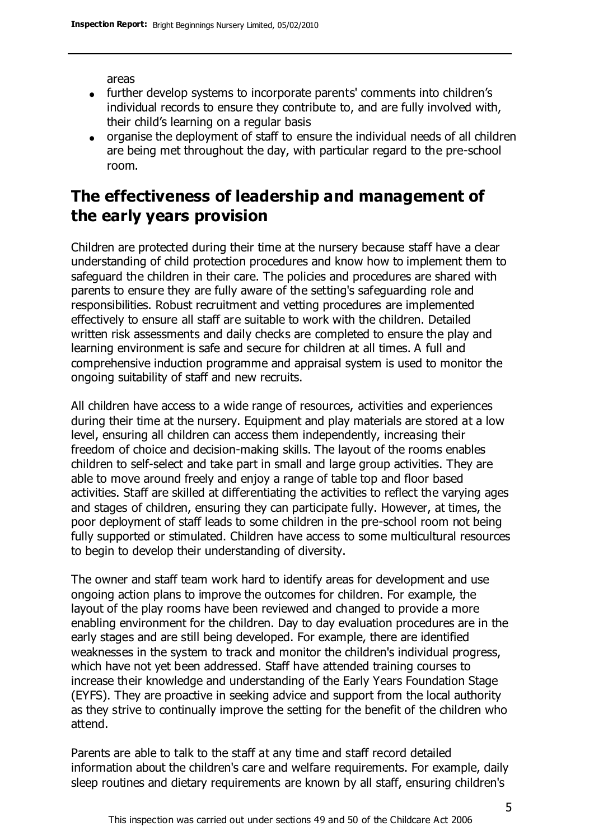areas

- further develop systems to incorporate parents' comments into children's individual records to ensure they contribute to, and are fully involved with, their child's learning on a regular basis
- organise the deployment of staff to ensure the individual needs of all children are being met throughout the day, with particular regard to the pre-school room.

### **The effectiveness of leadership and management of the early years provision**

Children are protected during their time at the nursery because staff have a clear understanding of child protection procedures and know how to implement them to safeguard the children in their care. The policies and procedures are shared with parents to ensure they are fully aware of the setting's safeguarding role and responsibilities. Robust recruitment and vetting procedures are implemented effectively to ensure all staff are suitable to work with the children. Detailed written risk assessments and daily checks are completed to ensure the play and learning environment is safe and secure for children at all times. A full and comprehensive induction programme and appraisal system is used to monitor the ongoing suitability of staff and new recruits.

All children have access to a wide range of resources, activities and experiences during their time at the nursery. Equipment and play materials are stored at a low level, ensuring all children can access them independently, increasing their freedom of choice and decision-making skills. The layout of the rooms enables children to self-select and take part in small and large group activities. They are able to move around freely and enjoy a range of table top and floor based activities. Staff are skilled at differentiating the activities to reflect the varying ages and stages of children, ensuring they can participate fully. However, at times, the poor deployment of staff leads to some children in the pre-school room not being fully supported or stimulated. Children have access to some multicultural resources to begin to develop their understanding of diversity.

The owner and staff team work hard to identify areas for development and use ongoing action plans to improve the outcomes for children. For example, the layout of the play rooms have been reviewed and changed to provide a more enabling environment for the children. Day to day evaluation procedures are in the early stages and are still being developed. For example, there are identified weaknesses in the system to track and monitor the children's individual progress, which have not yet been addressed. Staff have attended training courses to increase their knowledge and understanding of the Early Years Foundation Stage (EYFS). They are proactive in seeking advice and support from the local authority as they strive to continually improve the setting for the benefit of the children who attend.

Parents are able to talk to the staff at any time and staff record detailed information about the children's care and welfare requirements. For example, daily sleep routines and dietary requirements are known by all staff, ensuring children's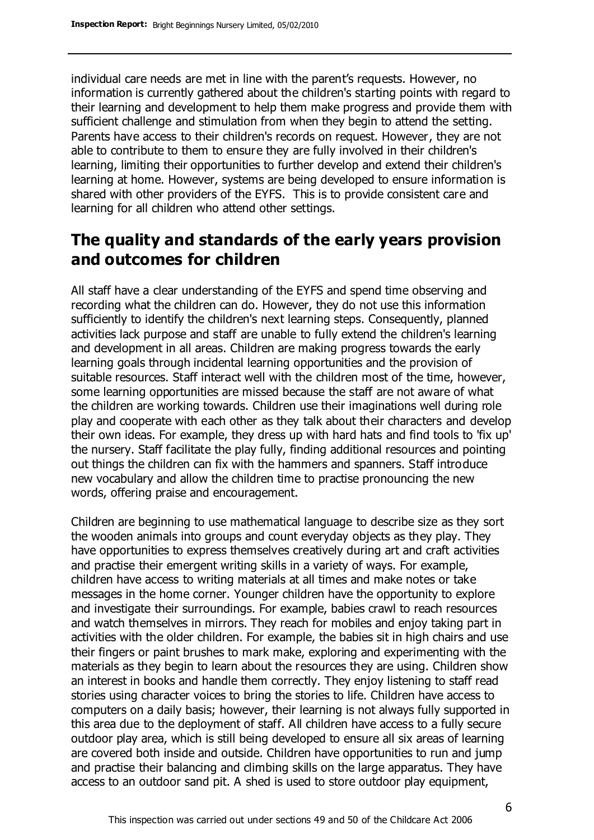individual care needs are met in line with the parent's requests. However, no information is currently gathered about the children's starting points with regard to their learning and development to help them make progress and provide them with sufficient challenge and stimulation from when they begin to attend the setting. Parents have access to their children's records on request. However, they are not able to contribute to them to ensure they are fully involved in their children's learning, limiting their opportunities to further develop and extend their children's learning at home. However, systems are being developed to ensure information is shared with other providers of the EYFS. This is to provide consistent care and learning for all children who attend other settings.

### **The quality and standards of the early years provision and outcomes for children**

All staff have a clear understanding of the EYFS and spend time observing and recording what the children can do. However, they do not use this information sufficiently to identify the children's next learning steps. Consequently, planned activities lack purpose and staff are unable to fully extend the children's learning and development in all areas. Children are making progress towards the early learning goals through incidental learning opportunities and the provision of suitable resources. Staff interact well with the children most of the time, however, some learning opportunities are missed because the staff are not aware of what the children are working towards. Children use their imaginations well during role play and cooperate with each other as they talk about their characters and develop their own ideas. For example, they dress up with hard hats and find tools to 'fix up' the nursery. Staff facilitate the play fully, finding additional resources and pointing out things the children can fix with the hammers and spanners. Staff introduce new vocabulary and allow the children time to practise pronouncing the new words, offering praise and encouragement.

Children are beginning to use mathematical language to describe size as they sort the wooden animals into groups and count everyday objects as they play. They have opportunities to express themselves creatively during art and craft activities and practise their emergent writing skills in a variety of ways. For example, children have access to writing materials at all times and make notes or take messages in the home corner. Younger children have the opportunity to explore and investigate their surroundings. For example, babies crawl to reach resources and watch themselves in mirrors. They reach for mobiles and enjoy taking part in activities with the older children. For example, the babies sit in high chairs and use their fingers or paint brushes to mark make, exploring and experimenting with the materials as they begin to learn about the resources they are using. Children show an interest in books and handle them correctly. They enjoy listening to staff read stories using character voices to bring the stories to life. Children have access to computers on a daily basis; however, their learning is not always fully supported in this area due to the deployment of staff. All children have access to a fully secure outdoor play area, which is still being developed to ensure all six areas of learning are covered both inside and outside. Children have opportunities to run and jump and practise their balancing and climbing skills on the large apparatus. They have access to an outdoor sand pit. A shed is used to store outdoor play equipment,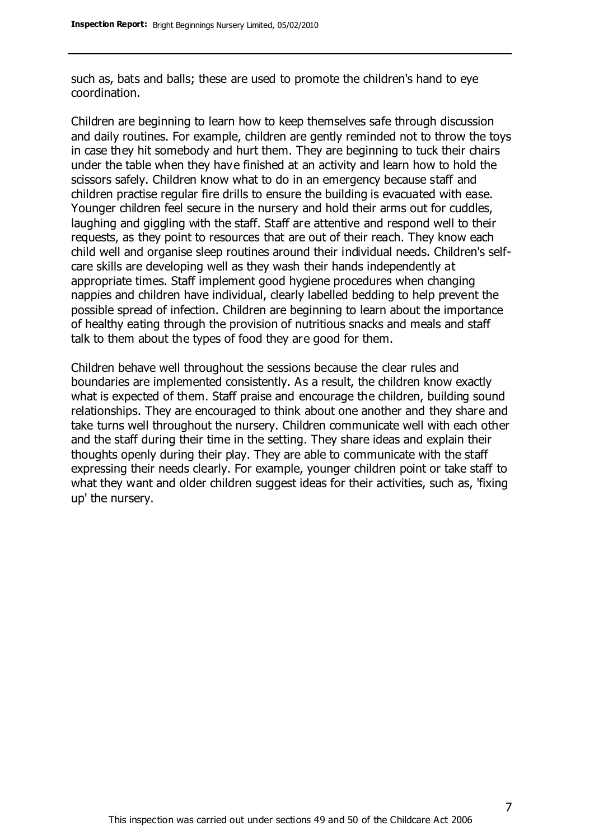such as, bats and balls; these are used to promote the children's hand to eye coordination.

Children are beginning to learn how to keep themselves safe through discussion and daily routines. For example, children are gently reminded not to throw the toys in case they hit somebody and hurt them. They are beginning to tuck their chairs under the table when they have finished at an activity and learn how to hold the scissors safely. Children know what to do in an emergency because staff and children practise regular fire drills to ensure the building is evacuated with ease. Younger children feel secure in the nursery and hold their arms out for cuddles, laughing and giggling with the staff. Staff are attentive and respond well to their requests, as they point to resources that are out of their reach. They know each child well and organise sleep routines around their individual needs. Children's selfcare skills are developing well as they wash their hands independently at appropriate times. Staff implement good hygiene procedures when changing nappies and children have individual, clearly labelled bedding to help prevent the possible spread of infection. Children are beginning to learn about the importance of healthy eating through the provision of nutritious snacks and meals and staff talk to them about the types of food they are good for them.

Children behave well throughout the sessions because the clear rules and boundaries are implemented consistently. As a result, the children know exactly what is expected of them. Staff praise and encourage the children, building sound relationships. They are encouraged to think about one another and they share and take turns well throughout the nursery. Children communicate well with each other and the staff during their time in the setting. They share ideas and explain their thoughts openly during their play. They are able to communicate with the staff expressing their needs clearly. For example, younger children point or take staff to what they want and older children suggest ideas for their activities, such as, 'fixing up' the nursery.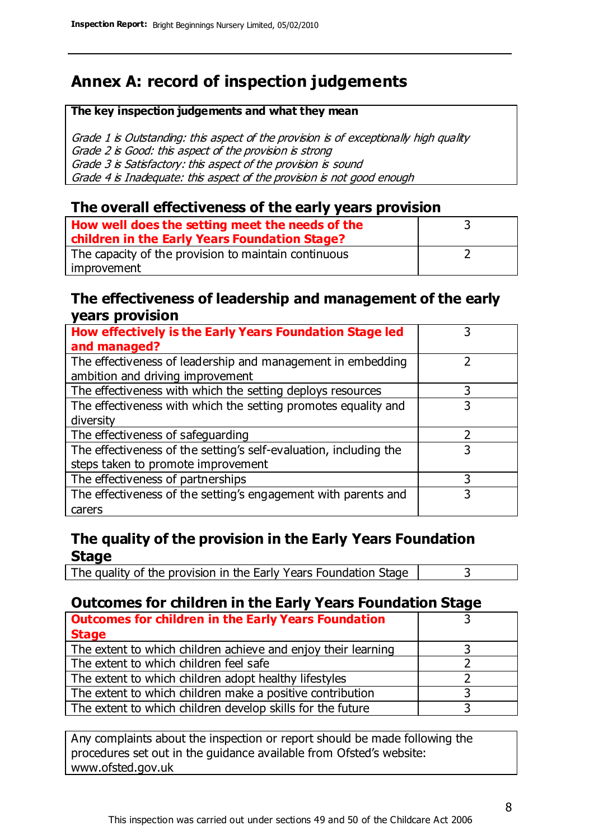## **Annex A: record of inspection judgements**

#### **The key inspection judgements and what they mean**

Grade 1 is Outstanding: this aspect of the provision is of exceptionally high quality Grade 2 is Good: this aspect of the provision is strong Grade 3 is Satisfactory: this aspect of the provision is sound Grade 4 is Inadequate: this aspect of the provision is not good enough

#### **The overall effectiveness of the early years provision**

| How well does the setting meet the needs of the<br>children in the Early Years Foundation Stage? |  |
|--------------------------------------------------------------------------------------------------|--|
| The capacity of the provision to maintain continuous                                             |  |
| improvement                                                                                      |  |

#### **The effectiveness of leadership and management of the early years provision**

| How effectively is the Early Years Foundation Stage led           |   |
|-------------------------------------------------------------------|---|
| and managed?                                                      |   |
| The effectiveness of leadership and management in embedding       |   |
| ambition and driving improvement                                  |   |
| The effectiveness with which the setting deploys resources        | 3 |
| The effectiveness with which the setting promotes equality and    |   |
| diversity                                                         |   |
| The effectiveness of safeguarding                                 |   |
| The effectiveness of the setting's self-evaluation, including the | 3 |
| steps taken to promote improvement                                |   |
| The effectiveness of partnerships                                 | 3 |
| The effectiveness of the setting's engagement with parents and    |   |
| carers                                                            |   |

#### **The quality of the provision in the Early Years Foundation Stage**

The quality of the provision in the Early Years Foundation Stage  $\vert$  3

#### **Outcomes for children in the Early Years Foundation Stage**

| <b>Outcomes for children in the Early Years Foundation</b>    |  |
|---------------------------------------------------------------|--|
| <b>Stage</b>                                                  |  |
| The extent to which children achieve and enjoy their learning |  |
| The extent to which children feel safe                        |  |
| The extent to which children adopt healthy lifestyles         |  |
| The extent to which children make a positive contribution     |  |
| The extent to which children develop skills for the future    |  |

Any complaints about the inspection or report should be made following the procedures set out in the guidance available from Ofsted's website: www.ofsted.gov.uk